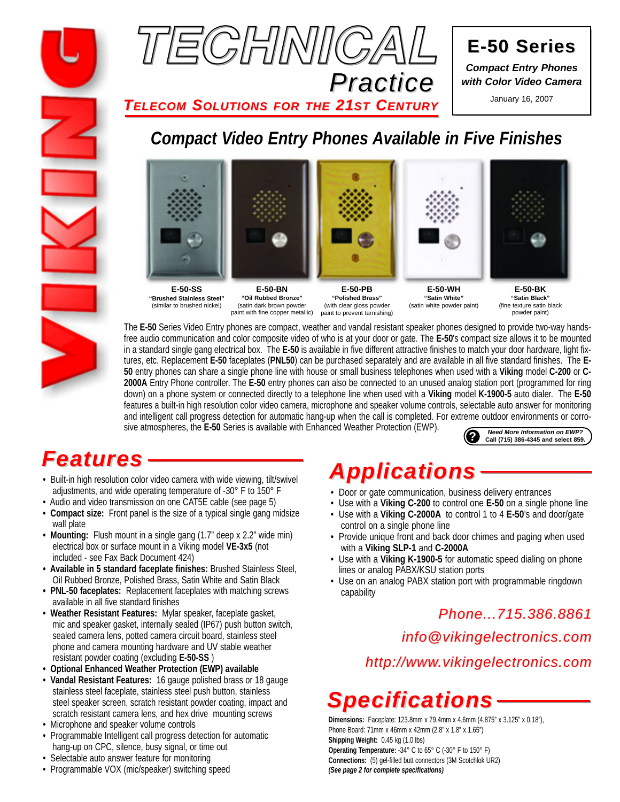



**E-50 Series E-50 Series** *Compact Entry Phones with Color Video Camera*

*TELECOM SOLUTIONS FOR THE 21ST CENTURY* January 16, 2007

### *Compact Video Entry Phones Available in Five Finishes*



**E-50-SS "Brushed Stainless Steel"** (similar to brushed nickel)

**"Oil Rubbed Bronze"** (satin dark brown powder paint with fine copper metallic)

**E-50-PB "Polished Brass"** (with clear gloss powder paint to prevent tarnishing)



**"Satin White"** (satin white powder paint)



**E-50-BK "Satin Black"** (fine texture satin black powder paint)

The **E-50** Series Video Entry phones are compact, weather and vandal resistant speaker phones designed to provide two-way handsfree audio communication and color composite video of who is at your door or gate. The **E-50**'s compact size allows it to be mounted in a standard single gang electrical box. The **E-50** is available in five different attractive finishes to match your door hardware, light fixtures, etc. Replacement **E-50** faceplates (**PNL50**) can be purchased separately and are available in all five standard finishes. The **E-50** entry phones can share a single phone line with house or small business telephones when used with a **Viking** model **C-200** or **C-2000A** Entry Phone controller. The **E-50** entry phones can also be connected to an unused analog station port (programmed for ring down) on a phone system or connected directly to a telephone line when used with a **Viking** model **K-1900-5** auto dialer. The **E-50** features a built-in high resolution color video camera, microphone and speaker volume controls, selectable auto answer for monitoring and intelligent call progress detection for automatic hang-up when the call is completed. For extreme outdoor environments or corrosive atmospheres, the **E-50** Series is available with Enhanced Weather Protection (EWP). **?** *Need More Information on EWP?* **Call (715) 386-4345 and select 859.**

## *Features*

- Built-in high resolution color video camera with wide viewing, tilt/swivel adjustments, and wide operating temperature of -30° F to 150° F
- Audio and video transmission on one CAT5E cable (see page 5)
- **Compact size:** Front panel is the size of a typical single gang midsize wall plate
- **Mounting:** Flush mount in a single gang (1.7" deep x 2.2" wide min) electrical box or surface mount in a Viking model **VE-3x5** (not included - see Fax Back Document 424)
- **Available in 5 standard faceplate finishes:** Brushed Stainless Steel, Oil Rubbed Bronze, Polished Brass, Satin White and Satin Black
- **PNL-50 faceplates:** Replacement faceplates with matching screws available in all five standard finishes
- **Weather Resistant Features:** Mylar speaker, faceplate gasket, mic and speaker gasket, internally sealed (IP67) push button switch, sealed camera lens, potted camera circuit board, stainless steel phone and camera mounting hardware and UV stable weather resistant powder coating (excluding **E-50-SS** )
- **Optional Enhanced Weather Protection (EWP) available**
- **Vandal Resistant Features:** 16 gauge polished brass or 18 gauge stainless steel faceplate, stainless steel push button, stainless steel speaker screen, scratch resistant powder coating, impact and scratch resistant camera lens, and hex drive mounting screws
- Microphone and speaker volume controls
- Programmable Intelligent call progress detection for automatic hang-up on CPC, silence, busy signal, or time out
- Selectable auto answer feature for monitoring
- Programmable VOX (mic/speaker) switching speed

## *Applications*

- Door or gate communication, business delivery entrances
- Use with a **Viking C-200** to control one **E-50** on a single phone line
- Use with a **Viking C-2000A** to control 1 to 4 **E-50**'s and door/gate control on a single phone line
- Provide unique front and back door chimes and paging when used with a **Viking SLP-1** and **C-2000A**
- Use with a **Viking K-1900-5** for automatic speed dialing on phone lines or analog PABX/KSU station ports
- Use on an analog PABX station port with programmable ringdown capability

### *Phone...715.386.8861*

*info@vikingelectronics.com*

*http://www.vikingelectronics.com*

## *Specifications*

**Dimensions:** Faceplate: 123.8mm x 79.4mm x 4.6mm (4.875" x 3.125" x 0.18"), Phone Board: 71mm x 46mm x 42mm (2.8" x 1.8" x 1.65") **Shipping Weight:** 0.45 kg (1.0 lbs) **Operating Temperature:** -34° C to 65° C (-30° F to 150° F) **Connections:** (5) gel-filled butt connectors (3M Scotchlok UR2) *(See page 2 for complete specifications)*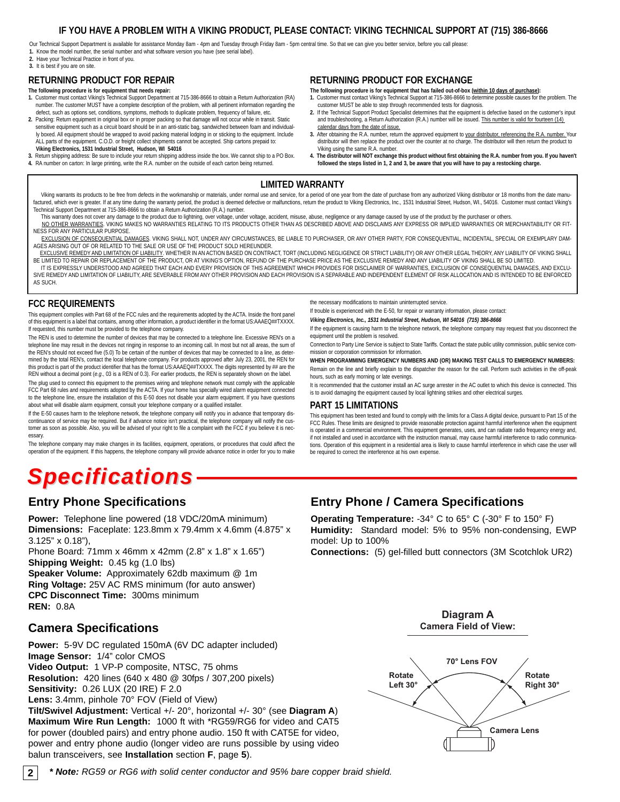#### **IF YOU HAVE A PROBLEM WITH A VIKING PRODUCT, PLEASE CONTACT: VIKING TECHNICAL SUPPORT AT (715) 386-8666**

Our Technical Support Department is available for assistance Monday 8am - 4pm and Tuesday through Friday 8am - 5pm central time. So that we can give you better service, before you call please: **1.** Know the model number, the serial number and what software version you have (see serial label).

**2.** Have your Technical Practice in front of you.

#### **3.** It is best if you are on site.

#### **RETURNING PRODUCT FOR REPAIR**

- **The following procedure is for equipment that needs repair:**
- 1. Customer must contact Viking's Technical Support Department at 715-386-8666 to obtain a Return Authorization (RA)<br>In umber. The customer MUST have a complete description of the problem, with all pertinent information re defect, such as options set, conditions, symptoms, methods to duplicate problem, frequency of failure, etc.
- **2.** Packing: Return equipment in original box or in proper packing so that damage will not occur while in transit. Static sensitive equipment such as a circuit board should be in an anti-static bag, sandwiched between foam and individually boxed. All equipment should be wrapped to avoid packing material lodging in or sticking to the equipment. Include ALL parts of the equipment. C.O.D. or freight collect shipments cannot be accepted. Ship cartons prepaid to: **Viking Electronics, 1531 Industrial Street, Hudson, WI 54016**
- **3.** Return shipping address: Be sure to include your return shipping address inside the box. We cannot ship to a PO Box. **4.** RA number on carton: In large printing, write the R.A. number on the outside of each carton being returned.

#### **RETURNING PRODUCT FOR EXCHANGE**

- **The following procedure is for equipment that has failed out-of-box (within 10 days of purchase): 1.** Customer must contact Viking's Technical Support at 715-386-8666 to determine possible causes for the problem. The customer MUST be able to step through recommended tests for diagnosis.
- **2.** If the Technical Support Product Specialist determines that the equipment is defective based on the customer's input and troubleshooting, a Return Authorization (R.A.) number will be issued. This number is valid for fourteen (14) calendar days from the date of issue.
- **3.** After obtaining the R.A. number, return the approved equipment to your distributor, referencing the R.A. number. Your distributor will then replace the product over the counter at no charge. The distributor will then return the product to Viking using the same R.A. number.
- **4. The distributor will NOT exchange this product without first obtaining the R.A. number from you. If you haven't**  followed the steps listed in 1, 2 and 3, be aware that you will have to pay a restocking charge

#### **LIMITED WARRANTY**

Viking warrants its products to be free from defects in the workmanship or materials, under normal use and service, for a period of one year from the date of purchase from any authorized Viking distributor or 18 months fro factured, which ever is greater. If at any time during the warranty period, the product is deemed defective or malfunctions, return the product to Viking Electronics, Inc., 1531 Industrial Street, Hudson, WI., 54016. Custo Technical Support Department at 715-386-8666 to obtain a Return Authorization (R.A.) number.

This warranty does not cover any damage to the product due to lightning, over voltage, under voltage, accident, misuse, abuse, negligence or any damage caused by use of the product by the purchaser or others NO OTHER WARRANTIES. VIKING MAKES NO WARRANTIES RELATING TO ITS PRODUCTS OTHER THAN AS DESCRIBED ABOVE AND DISCLAIMS ANY EXPRESS OR IMPLIED WARRANTIES OR MERCHANTABILITY OR FIT-NESS FOR ANY PARTICULAR PURPOSE.

EXCLUSION OF CONSEQUENTIAL DAMAGES. VIKING SHALL NOT, UNDER ANY CIRCUMSTANCES, BE LIABLE TO PURCHASER, OR ANY OTHER PARTY, FOR CONSEQUENTIAL, INCIDENTAL, SPECIAL OR EXEMPLARY DAM-AGES ARISING OUT OF OR RELATED TO THE SALE OR USE OF THE PRODUCT SOLD HEREUNDER.

EXCLUSIVE REMEDY AND LIMITATION OF LIABILITY. WHETHER IN AN ACTION BASED ON CONTRACT, TORT (INCLUDING NEGLIGENCE OR STRICT LIABILITY) OR ANY OTHER LEGAL THEORY, ANY LIABILITY OF VIKING SHALL BE LIMITED TO REPAIR OR REPLACEMENT OF THE PRODUCT OR AT VIKING'S OPTION, REFUND OF THE PURCHASE PRICE AS THE EXCLUSIVE REMEDY AND ANY LIABILITY OF VIKING SHALL BE SO LIMITED.

IT IS EXPRESSLY UNDERSTOOD AND AGREED THAT EACH AND EVERY PROVISION OF THIS AGREEMENT WHICH PROVIDES FOR DISCLAIMER OF WARRANTIES, EXCLUSION OF CONSEQUENTIAL DAMAGES, AND EXCLU-SIVE REMEDY AND LIMITATION OF LIABILITY, ARE SEVERABLE FROM ANY OTHER PROVISION AND EACH PROVISION IS A SEPARABLE AND INDEPENDENT ELEMENT OF RISK ALLOCATION AND IS INTENDED TO BE ENFORCED AS SUCH.

#### **FCC REQUIREMENTS**

This equipment complies with Part 68 of the FCC rules and the requirements adopted by the ACTA. Inside the front panel of this equipment is a label that contains, among other information, a product identifier in the format US:AAAEQ##TXXXX. If requested, this number must be provided to the telephone company.

The REN is used to determine the number of devices that may be connected to a telephone line. Excessive REN's on a telephone line may result in the devices not ringing in response to an incoming call. In most but not all areas, the sum of the REN's should not exceed five (5.0) To be certain of the number of devices that may be connected to a line, as determined by the total REN's, contact the local telephone company. For products approved after July 23, 2001, the REN for this product is part of the product identifier that has the format US:AAAEQ##TXXXX. The digits represented by ## are the REN without a decimal point (*e.g*., 03 is a REN of 0.3). For earlier products, the REN is separately shown on the label.

The plug used to connect this equipment to the premises wiring and telephone network must comply with the applicable FCC Part 68 rules and requirements adopted by the ACTA. If your home has specially wired alarm equipment connected to the telephone line, ensure the installation of this E-50 does not disable your alarm equipment. If you have questions about what will disable alarm equipment, consult your telephone company or a qualified installer.

If the E-50 causes harm to the telephone network, the telephone company will notify you in advance that temporary discontinuance of service may be required. But if advance notice isn't practical, the telephone company will notify the customer as soon as possible. Also, you will be advised of your right to file a complaint with the FCC if you believe it is necessary.

The telephone company may make changes in its facilities, equipment, operations, or procedures that could affect the operation of the equipment. If this happens, the telephone company will provide advance notice in order for you to make

## *Specifications*

#### **Entry Phone Specifications**

**Power:** Telephone line powered (18 VDC/20mA minimum) **Dimensions:** Faceplate: 123.8mm x 79.4mm x 4.6mm (4.875" x 3.125" x 0.18"),

Phone Board: 71mm x 46mm x 42mm (2.8" x 1.8" x 1.65") **Shipping Weight:** 0.45 kg (1.0 lbs)

**Speaker Volume:** Approximately 62db maximum @ 1m **Ring Voltage:** 25V AC RMS minimum (for auto answer) **CPC Disconnect Time:** 300ms minimum **REN:** 0.8A

#### **Camera Specifications**

**Power:** 5-9V DC regulated 150mA (6V DC adapter included) **Image Sensor:** 1/4" color CMOS **Video Output:** 1 VP-P composite, NTSC, 75 ohms **Resolution:** 420 lines (640 x 480 @ 30fps / 307,200 pixels) **Sensitivity:** 0.26 LUX (20 IRE) F 2.0

**Lens:** 3.4mm, pinhole 70° FOV (Field of View)

**Tilt/Swivel Adjustment:** Vertical +/- 20°, horizontal +/- 30° (see **Diagram A**) **Maximum Wire Run Length:** 1000 ft with \*RG59/RG6 for video and CAT5 for power (doubled pairs) and entry phone audio. 150 ft with CAT5E for video, power and entry phone audio (longer video are runs possible by using video balun transceivers, see **Installation** section **F**, page **5**).

the necessary modifications to maintain uninterrupted service.

If trouble is experienced with the E-50, for repair or warranty information, please contact:

*Viking Electronics, Inc., 1531 Industrial Street, Hudson, WI 54016 (715) 386-8666*

If the equipment is causing harm to the telephone network, the telephone company may request that you disconnect the equipment until the problem is resolved.

Connection to Party Line Service is subject to State Tariffs. Contact the state public utility commission, public service commission or corporation commission for information.

**WHEN PROGRAMMING EMERGENCY NUMBERS AND (OR) MAKING TEST CALLS TO EMERGENCY NUMBERS:**

Remain on the line and briefly explain to the dispatcher the reason for the call. Perform such activities in the off-peak hours, such as early morning or late evenings.

It is recommended that the customer install an AC surge arrester in the AC outlet to which this device is connected. This is to avoid damaging the equipment caused by local lightning strikes and other electrical surges.

#### **PART 15 LIMITATIONS**

This equipment has been tested and found to comply with the limits for a Class A digital device, pursuant to Part 15 of the FCC Rules. These limits are designed to provide reasonable protection against harmful interference when the equipment is operated in a commercial environment. This equipment generates, uses, and can radiate radio frequency energy and, if not installed and used in accordance with the instruction manual, may cause harmful interference to radio communications. Operation of this equipment in a residential area is likely to cause harmful interference in which case the user will be required to correct the interference at his own expense.

#### **Entry Phone / Camera Specifications**

**Operating Temperature:** -34° C to 65° C (-30° F to 150° F) **Humidity:** Standard model: 5% to 95% non-condensing, EWP model: Up to 100%

**Connections:** (5) gel-filled butt connectors (3M Scotchlok UR2)



**Diagram A Camera Field of View:**

*\* Note: RG59 or RG6 with solid center conductor and 95% bare copper braid shield.*

**2**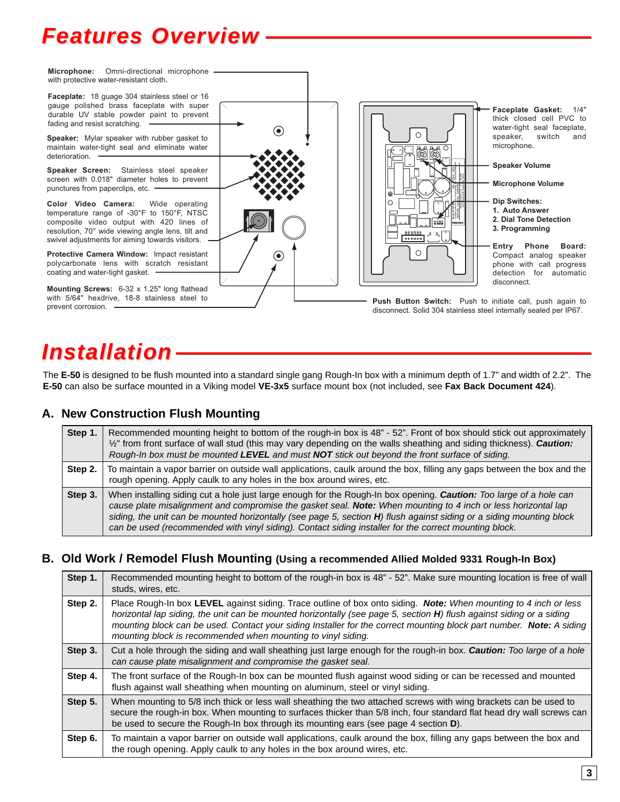## *Features Overview*



## *Installation*

The **E-50** is designed to be flush mounted into a standard single gang Rough-In box with a minimum depth of 1.7" and width of 2.2". The **E-50** can also be surface mounted in a Viking model **VE-3x5** surface mount box (not included, see **Fax Back Document 424**).

#### **A. New Construction Flush Mounting**

| Step 1. | Recommended mounting height to bottom of the rough-in box is 48" - 52". Front of box should stick out approximately<br>$\frac{1}{2}$ " from front surface of wall stud (this may vary depending on the walls sheathing and siding thickness). Caution:<br>Rough-In box must be mounted LEVEL and must NOT stick out beyond the front surface of siding.                                                                                                              |
|---------|----------------------------------------------------------------------------------------------------------------------------------------------------------------------------------------------------------------------------------------------------------------------------------------------------------------------------------------------------------------------------------------------------------------------------------------------------------------------|
| Step 2. | To maintain a vapor barrier on outside wall applications, caulk around the box, filling any gaps between the box and the<br>rough opening. Apply caulk to any holes in the box around wires, etc.                                                                                                                                                                                                                                                                    |
| Step 3. | When installing siding cut a hole just large enough for the Rough-In box opening. Caution: Too large of a hole can<br>cause plate misalignment and compromise the gasket seal. Note: When mounting to 4 inch or less horizontal lap<br>siding, the unit can be mounted horizontally (see page 5, section H) flush against siding or a siding mounting block<br>can be used (recommended with vinyl siding). Contact siding installer for the correct mounting block. |

#### **B. Old Work / Remodel Flush Mounting (Using a recommended Allied Molded 9331 Rough-In Box)**

| Step 1. | Recommended mounting height to bottom of the rough-in box is 48" - 52". Make sure mounting location is free of wall<br>studs, wires, etc.                                                                                                                                                                                                                                                                                        |
|---------|----------------------------------------------------------------------------------------------------------------------------------------------------------------------------------------------------------------------------------------------------------------------------------------------------------------------------------------------------------------------------------------------------------------------------------|
| Step 2. | Place Rough-In box LEVEL against siding. Trace outline of box onto siding. Note: When mounting to 4 inch or less<br>horizontal lap siding, the unit can be mounted horizontally (see page 5, section H) flush against siding or a siding<br>mounting block can be used. Contact your siding Installer for the correct mounting block part number. Note: A siding<br>mounting block is recommended when mounting to vinyl siding. |
| Step 3. | Cut a hole through the siding and wall sheathing just large enough for the rough-in box. Caution: Too large of a hole<br>can cause plate misalignment and compromise the gasket seal.                                                                                                                                                                                                                                            |
| Step 4. | The front surface of the Rough-In box can be mounted flush against wood siding or can be recessed and mounted<br>flush against wall sheathing when mounting on aluminum, steel or vinyl siding.                                                                                                                                                                                                                                  |
| Step 5. | When mounting to 5/8 inch thick or less wall sheathing the two attached screws with wing brackets can be used to<br>secure the rough-in box. When mounting to surfaces thicker than 5/8 inch, four standard flat head dry wall screws can<br>be used to secure the Rough-In box through its mounting ears (see page 4 section D).                                                                                                |
| Step 6. | To maintain a vapor barrier on outside wall applications, caulk around the box, filling any gaps between the box and<br>the rough opening. Apply caulk to any holes in the box around wires, etc.                                                                                                                                                                                                                                |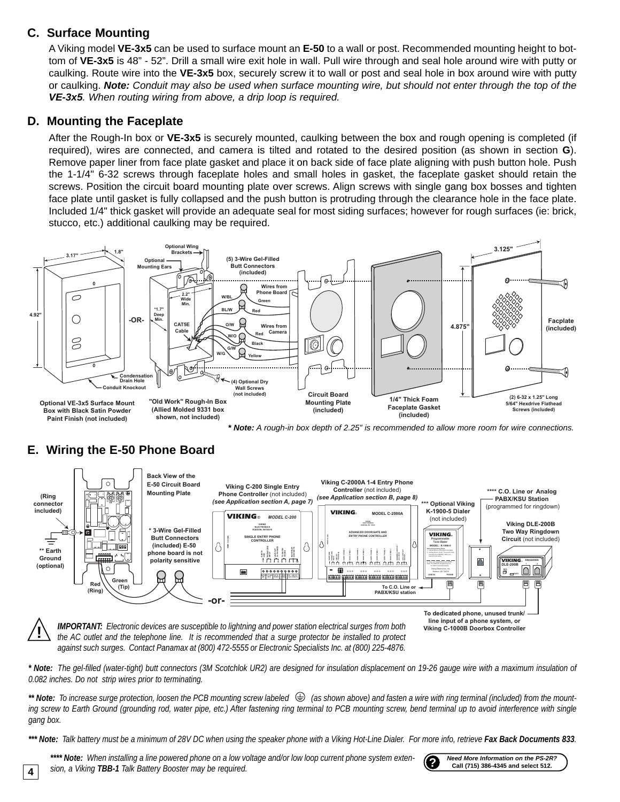### **C. Surface Mounting**

A Viking model **VE-3x5** can be used to surface mount an **E-50** to a wall or post. Recommended mounting height to bottom of **VE-3x5** is 48" - 52". Drill a small wire exit hole in wall. Pull wire through and seal hole around wire with putty or caulking. Route wire into the **VE-3x5** box, securely screw it to wall or post and seal hole in box around wire with putty or caulking. *Note: Conduit may also be used when surface mounting wire, but should not enter through the top of the VE-3x5. When routing wiring from above, a drip loop is required.*

### **D. Mounting the Faceplate**

After the Rough-In box or **VE-3x5** is securely mounted, caulking between the box and rough opening is completed (if required), wires are connected, and camera is tilted and rotated to the desired position (as shown in section **G**). Remove paper liner from face plate gasket and place it on back side of face plate aligning with push button hole. Push the 1-1/4" 6-32 screws through faceplate holes and small holes in gasket, the faceplate gasket should retain the screws. Position the circuit board mounting plate over screws. Align screws with single gang box bosses and tighten face plate until gasket is fully collapsed and the push button is protruding through the clearance hole in the face plate. Included 1/4" thick gasket will provide an adequate seal for most siding surfaces; however for rough surfaces (ie: brick, stucco, etc.) additional caulking may be required.



*\* Note: A rough-in box depth of 2.25" is recommended to allow more room for wire connections.*

### **E. Wiring the E-50 Phone Board**





*the AC outlet and the telephone line. It is recommended that a surge protector be installed to protect against such surges. Contact Panamax at (800) 472-5555 or Electronic Specialists Inc. at (800) 225-4876.*

*\* Note: The gel-filled (water-tight) butt connectors (3M Scotchlok UR2) are designed for insulation displacement on 19-26 gauge wire with a maximum insulation of 0.082 inches. Do not strip wires prior to terminating.*

\*\* Note: To increase surge protection, loosen the PCB mounting screw labeled (<del>↓)</del> (as shown above) and fasten a wire with ring terminal (included) from the mount*ing screw to Earth Ground (grounding rod, water pipe, etc.) After fastening ring terminal to PCB mounting screw, bend terminal up to avoid interference with single gang box.*

*\*\*\* Note: Talk battery must be a minimum of 28V DC when using the speaker phone with a Viking Hot-Line Dialer. For more info, retrieve Fax Back Documents 833.*

\*\*\*\* Note: When installing a line powered phone on a low voltage and/or low loop current phone system exten-<br>sion, a Viking TBB-1 Talk Battery Booster may be required.



**Call (715) 386-4345 and select 512.**

**4**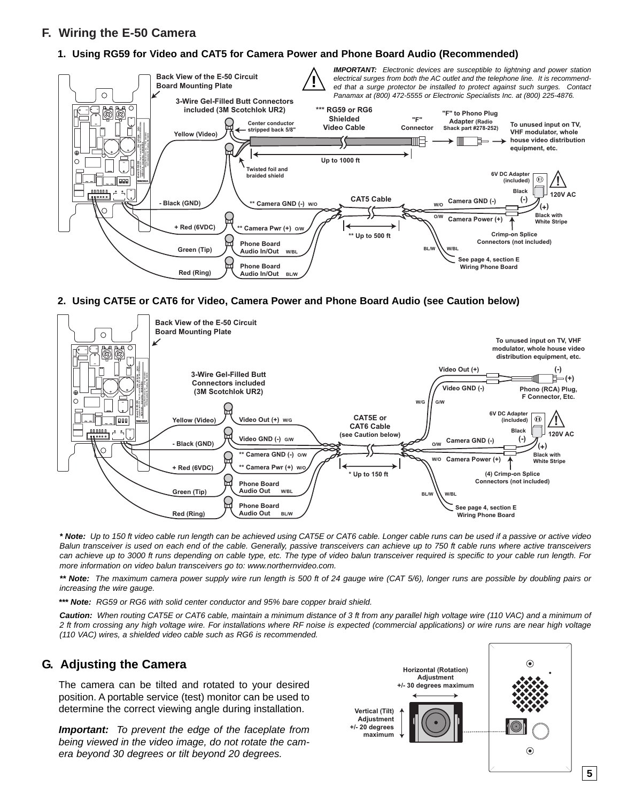### **F. Wiring the E-50 Camera**

#### **1. Using RG59 for Video and CAT5 for Camera Power and Phone Board Audio (Recommended)**



#### **2. Using CAT5E or CAT6 for Video, Camera Power and Phone Board Audio (see Caution below)**



*\* Note: Up to 150 ft video cable run length can be achieved using CAT5E or CAT6 cable. Longer cable runs can be used if a passive or active video Balun transceiver is used on each end of the cable. Generally, passive transceivers can achieve up to 750 ft cable runs where active transceivers can achieve up to 3000 ft runs depending on cable type, etc. The type of video balun transceiver required is specific to your cable run length. For more information on video balun transceivers go to: www.northernvideo.com.*

*\*\* Note: The maximum camera power supply wire run length is 500 ft of 24 gauge wire (CAT 5/6), longer runs are possible by doubling pairs or increasing the wire gauge.*

*\*\*\* Note: RG59 or RG6 with solid center conductor and 95% bare copper braid shield.*

*Caution: When routing CAT5E or CAT6 cable, maintain a minimum distance of 3 ft from any parallel high voltage wire (110 VAC) and a minimum of 2 ft from crossing any high voltage wire. For installations where RF noise is expected (commercial applications) or wire runs are near high voltage (110 VAC) wires, a shielded video cable such as RG6 is recommended.*

#### **G. Adjusting the Camera**

The camera can be tilted and rotated to your desired position. A portable service (test) monitor can be used to determine the correct viewing angle during installation.

*Important: To prevent the edge of the faceplate from being viewed in the video image, do not rotate the camera beyond 30 degrees or tilt beyond 20 degrees.*

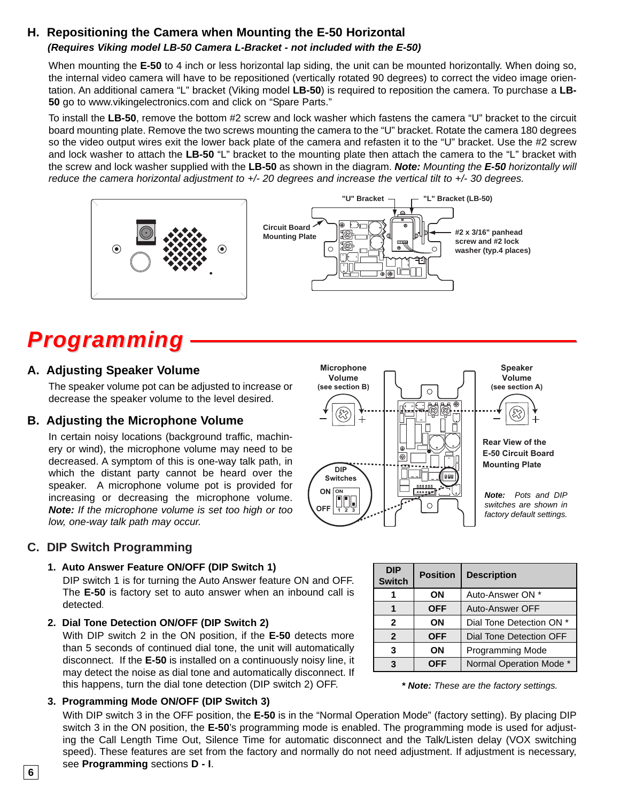### **H. Repositioning the Camera when Mounting the E-50 Horizontal**

#### *(Requires Viking model LB-50 Camera L-Bracket - not included with the E-50)*

When mounting the **E-50** to 4 inch or less horizontal lap siding, the unit can be mounted horizontally. When doing so, the internal video camera will have to be repositioned (vertically rotated 90 degrees) to correct the video image orientation. An additional camera "L" bracket (Viking model **LB-50**) is required to reposition the camera. To purchase a **LB-50** go to www.vikingelectronics.com and click on "Spare Parts."

To install the **LB-50**, remove the bottom #2 screw and lock washer which fastens the camera "U" bracket to the circuit board mounting plate. Remove the two screws mounting the camera to the "U" bracket. Rotate the camera 180 degrees so the video output wires exit the lower back plate of the camera and refasten it to the "U" bracket. Use the #2 screw and lock washer to attach the **LB-50** "L" bracket to the mounting plate then attach the camera to the "L" bracket with the screw and lock washer supplied with the **LB-50** as shown in the diagram. *Note: Mounting the E-50 horizontally will reduce the camera horizontal adjustment to +/- 20 degrees and increase the vertical tilt to +/- 30 degrees.*



## *Programming*

#### **A. Adjusting Speaker Volume**

The speaker volume pot can be adjusted to increase or decrease the speaker volume to the level desired.

#### **B. Adjusting the Microphone Volume**

In certain noisy locations (background traffic, machinery or wind), the microphone volume may need to be decreased. A symptom of this is one-way talk path, in which the distant party cannot be heard over the speaker. A microphone volume pot is provided for increasing or decreasing the microphone volume. *Note: If the microphone volume is set too high or too low, one-way talk path may occur.*

### **C. DIP Switch Programming**

#### **1. Auto Answer Feature ON/OFF (DIP Switch 1)**

DIP switch 1 is for turning the Auto Answer feature ON and OFF. The **E-50** is factory set to auto answer when an inbound call is detected.

#### **2. Dial Tone Detection ON/OFF (DIP Switch 2)**

With DIP switch 2 in the ON position, if the **E-50** detects more than 5 seconds of continued dial tone, the unit will automatically disconnect. If the **E-50** is installed on a continuously noisy line, it may detect the noise as dial tone and automatically disconnect. If this happens, turn the dial tone detection (DIP switch 2) OFF.

#### **Speaker Microphone Volume Volume (see section B) (see section A) Rear View of the**  $\oplus$ **E-50 Circuit Board**  $\boxed{\circledcirc}$ **Mounting Plate DIP Switches** 989 **ON ON** *Note: Pots and DIP* **1 2 3**  $\circ$ *switches are shown in* **OFF** *factory default settings.*

| <b>DIP</b><br><b>Switch</b>      | <b>Position</b> | <b>Description</b>       |  |  |
|----------------------------------|-----------------|--------------------------|--|--|
| ΟN                               |                 | Auto-Answer ON *         |  |  |
| <b>OFF</b><br>$\mathbf{2}$<br>ΟN |                 | Auto-Answer OFF          |  |  |
|                                  |                 | Dial Tone Detection ON * |  |  |
| $\overline{2}$                   | <b>OFF</b>      | Dial Tone Detection OFF  |  |  |
| 3<br>ΟN                          |                 | <b>Programming Mode</b>  |  |  |
| OFF<br>3                         |                 | Normal Operation Mode *  |  |  |

*\* Note: These are the factory settings.*

#### **3. Programming Mode ON/OFF (DIP Switch 3)**

With DIP switch 3 in the OFF position, the **E-50** is in the "Normal Operation Mode" (factory setting). By placing DIP switch 3 in the ON position, the **E-50**'s programming mode is enabled. The programming mode is used for adjusting the Call Length Time Out, Silence Time for automatic disconnect and the Talk/Listen delay (VOX switching speed). These features are set from the factory and normally do not need adjustment. If adjustment is necessary, see **Programming** sections **D - I**.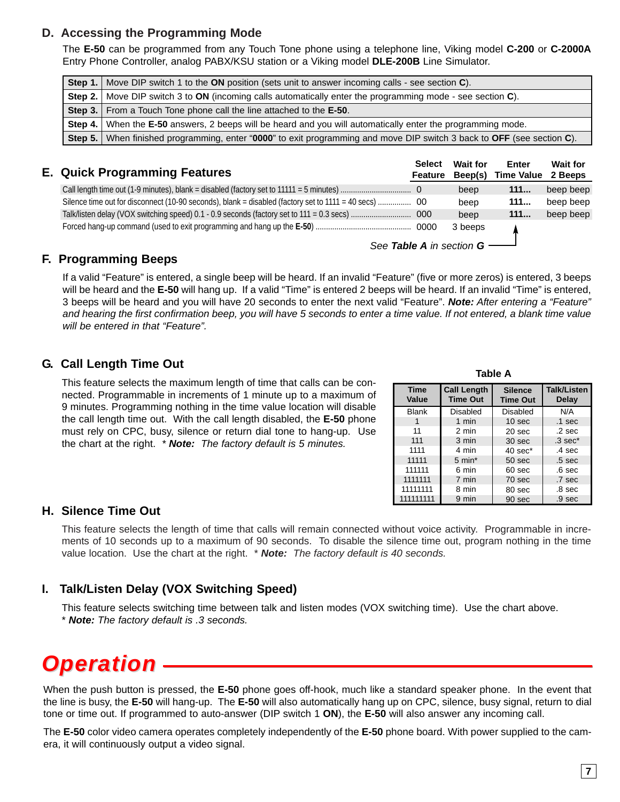#### **D. Accessing the Programming Mode**

The **E-50** can be programmed from any Touch Tone phone using a telephone line, Viking model **C-200** or **C-2000A** Entry Phone Controller, analog PABX/KSU station or a Viking model **DLE-200B** Line Simulator.

|         | <b>Step 1.</b> Move DIP switch 1 to the ON position (sets unit to answer incoming calls - see section C).                   |  |  |
|---------|-----------------------------------------------------------------------------------------------------------------------------|--|--|
|         | <b>Step 2.</b> Move DIP switch 3 to <b>ON</b> (incoming calls automatically enter the programming mode - see section $C$ ). |  |  |
|         | <b>Step 3.</b> From a Touch Tone phone call the line attached to the <b>E-50</b> .                                          |  |  |
|         | Step 4. When the E-50 answers, 2 beeps will be heard and you will automatically enter the programming mode.                 |  |  |
| Step 5. | When finished programming, enter "0000" to exit programming and move DIP switch 3 back to OFF (see section C).              |  |  |
|         |                                                                                                                             |  |  |

| <b>E. Quick Programming Features</b>                                                              | <b>Select</b><br><b>Feature</b> | <b>Wait for</b><br>Beep(s) | Enter<br><b>Time Value</b> | <b>Wait for</b><br>2 Beeps |
|---------------------------------------------------------------------------------------------------|---------------------------------|----------------------------|----------------------------|----------------------------|
|                                                                                                   |                                 | beep                       | 111                        | beep beep                  |
| Silence time out for disconnect (10-90 seconds), blank = disabled (factory set to 1111 = 40 secs) | -00                             | beep                       | 111                        | beep beep                  |
|                                                                                                   | 000                             | beep                       | 111                        | beep beep                  |
|                                                                                                   |                                 | 3 beeps                    |                            |                            |

#### *See Table A in section G*

#### **F. Programming Beeps**

If a valid "Feature" is entered, a single beep will be heard. If an invalid "Feature" (five or more zeros) is entered, 3 beeps will be heard and the **E-50** will hang up. If a valid "Time" is entered 2 beeps will be heard. If an invalid "Time" is entered, 3 beeps will be heard and you will have 20 seconds to enter the next valid "Feature". *Note: After entering a "Feature" and hearing the first confirmation beep, you will have 5 seconds to enter a time value. If not entered, a blank time value will be entered in that "Feature".*

#### **G. Call Length Time Out**

This feature selects the maximum length of time that calls can be connected. Programmable in increments of 1 minute up to a maximum of 9 minutes. Programming nothing in the time value location will disable the call length time out. With the call length disabled, the **E-50** phone must rely on CPC, busy, silence or return dial tone to hang-up. Use the chart at the right. *\* Note: The factory default is 5 minutes.*

| <b>Time</b><br>Value | <b>Call Length</b><br><b>Time Out</b> | <b>Silence</b><br><b>Time Out</b> | Talk/Listen<br>Delay |
|----------------------|---------------------------------------|-----------------------------------|----------------------|
| <b>Blank</b>         | Disabled                              | Disabled                          | N/A                  |
|                      | 1 min                                 | 10 <sub>sec</sub>                 | $.1$ sec             |
| 11                   | 2 min                                 | 20 <sub>sec</sub>                 | .2 <sub>sec</sub>    |
| 111                  | 3 min                                 | 30 <sub>sec</sub>                 | $.3 \text{ sec}^*$   |
| 1111                 | 4 min                                 | $40 \text{ sec}^*$                | $.4 \text{ sec}$     |
| 11111                | $5 \text{ min}^*$                     | 50 sec                            | .5 <sub>sec</sub>    |
| 111111               | 6 min                                 | 60 <sub>sec</sub>                 | .6 <sub>sec</sub>    |
| 1111111              | 7 min                                 | 70 sec                            | .7 sec               |
| 11111111             | 8 min                                 | 80 sec                            | .8 sec               |
| 111111111            | 9 min                                 | 90 sec                            | .9 <sub>sec</sub>    |

**Table A**

#### **H. Silence Time Out**

This feature selects the length of time that calls will remain connected without voice activity. Programmable in increments of 10 seconds up to a maximum of 90 seconds. To disable the silence time out, program nothing in the time value location. Use the chart at the right. \* *Note: The factory default is 40 seconds.*

#### **I. Talk/Listen Delay (VOX Switching Speed)**

This feature selects switching time between talk and listen modes (VOX switching time). Use the chart above. \* *Note: The factory default is .3 seconds.*

## *Operation*

When the push button is pressed, the **E-50** phone goes off-hook, much like a standard speaker phone. In the event that the line is busy, the **E-50** will hang-up. The **E-50** will also automatically hang up on CPC, silence, busy signal, return to dial tone or time out. If programmed to auto-answer (DIP switch 1 **ON**), the **E-50** will also answer any incoming call.

The **E-50** color video camera operates completely independently of the **E-50** phone board. With power supplied to the camera, it will continuously output a video signal.